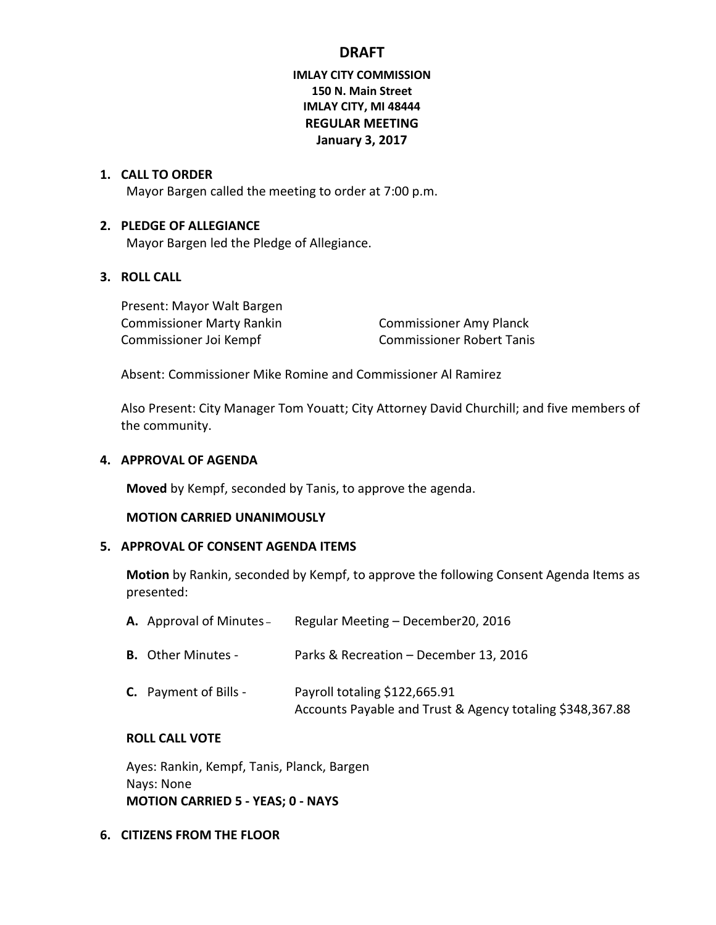# **DRAFT**

## **IMLAY CITY COMMISSION 150 N. Main Street IMLAY CITY, MI 48444 REGULAR MEETING January 3, 2017**

#### **1. CALL TO ORDER**

Mayor Bargen called the meeting to order at 7:00 p.m.

#### **2. PLEDGE OF ALLEGIANCE**

Mayor Bargen led the Pledge of Allegiance.

## **3. ROLL CALL**

Present: Mayor Walt Bargen Commissioner Marty Rankin Commissioner Amy Planck Commissioner Joi Kempf Commissioner Robert Tanis

Absent: Commissioner Mike Romine and Commissioner Al Ramirez

Also Present: City Manager Tom Youatt; City Attorney David Churchill; and five members of the community.

#### **4. APPROVAL OF AGENDA**

**Moved** by Kempf, seconded by Tanis, to approve the agenda.

### **MOTION CARRIED UNANIMOUSLY**

#### **5. APPROVAL OF CONSENT AGENDA ITEMS**

**Motion** by Rankin, seconded by Kempf, to approve the following Consent Agenda Items as presented:

| <b>A.</b> Approval of Minutes – | Regular Meeting - December20, 2016                                                         |
|---------------------------------|--------------------------------------------------------------------------------------------|
| <b>B.</b> Other Minutes -       | Parks & Recreation - December 13, 2016                                                     |
| <b>C.</b> Payment of Bills -    | Payroll totaling \$122,665.91<br>Accounts Payable and Trust & Agency totaling \$348,367.88 |

#### **ROLL CALL VOTE**

Ayes: Rankin, Kempf, Tanis, Planck, Bargen Nays: None **MOTION CARRIED 5 - YEAS; 0 - NAYS**

#### **6. CITIZENS FROM THE FLOOR**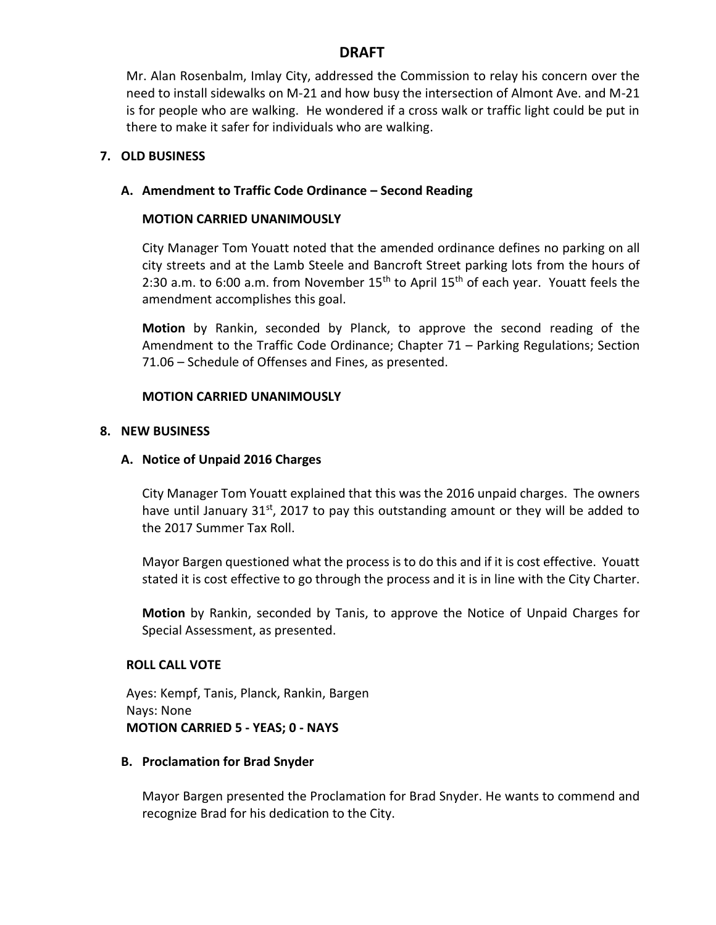# **DRAFT**

Mr. Alan Rosenbalm, Imlay City, addressed the Commission to relay his concern over the need to install sidewalks on M-21 and how busy the intersection of Almont Ave. and M-21 is for people who are walking. He wondered if a cross walk or traffic light could be put in there to make it safer for individuals who are walking.

## **7. OLD BUSINESS**

## **A. Amendment to Traffic Code Ordinance – Second Reading**

### **MOTION CARRIED UNANIMOUSLY**

City Manager Tom Youatt noted that the amended ordinance defines no parking on all city streets and at the Lamb Steele and Bancroft Street parking lots from the hours of 2:30 a.m. to 6:00 a.m. from November  $15<sup>th</sup>$  to April  $15<sup>th</sup>$  of each year. Youatt feels the amendment accomplishes this goal.

**Motion** by Rankin, seconded by Planck, to approve the second reading of the Amendment to the Traffic Code Ordinance; Chapter 71 – Parking Regulations; Section 71.06 – Schedule of Offenses and Fines, as presented.

### **MOTION CARRIED UNANIMOUSLY**

### **8. NEW BUSINESS**

### **A. Notice of Unpaid 2016 Charges**

City Manager Tom Youatt explained that this was the 2016 unpaid charges. The owners have until January 31st, 2017 to pay this outstanding amount or they will be added to the 2017 Summer Tax Roll.

Mayor Bargen questioned what the process is to do this and if it is cost effective. Youatt stated it is cost effective to go through the process and it is in line with the City Charter.

**Motion** by Rankin, seconded by Tanis, to approve the Notice of Unpaid Charges for Special Assessment, as presented.

## **ROLL CALL VOTE**

Ayes: Kempf, Tanis, Planck, Rankin, Bargen Nays: None **MOTION CARRIED 5 - YEAS; 0 - NAYS**

### **B. Proclamation for Brad Snyder**

Mayor Bargen presented the Proclamation for Brad Snyder. He wants to commend and recognize Brad for his dedication to the City.